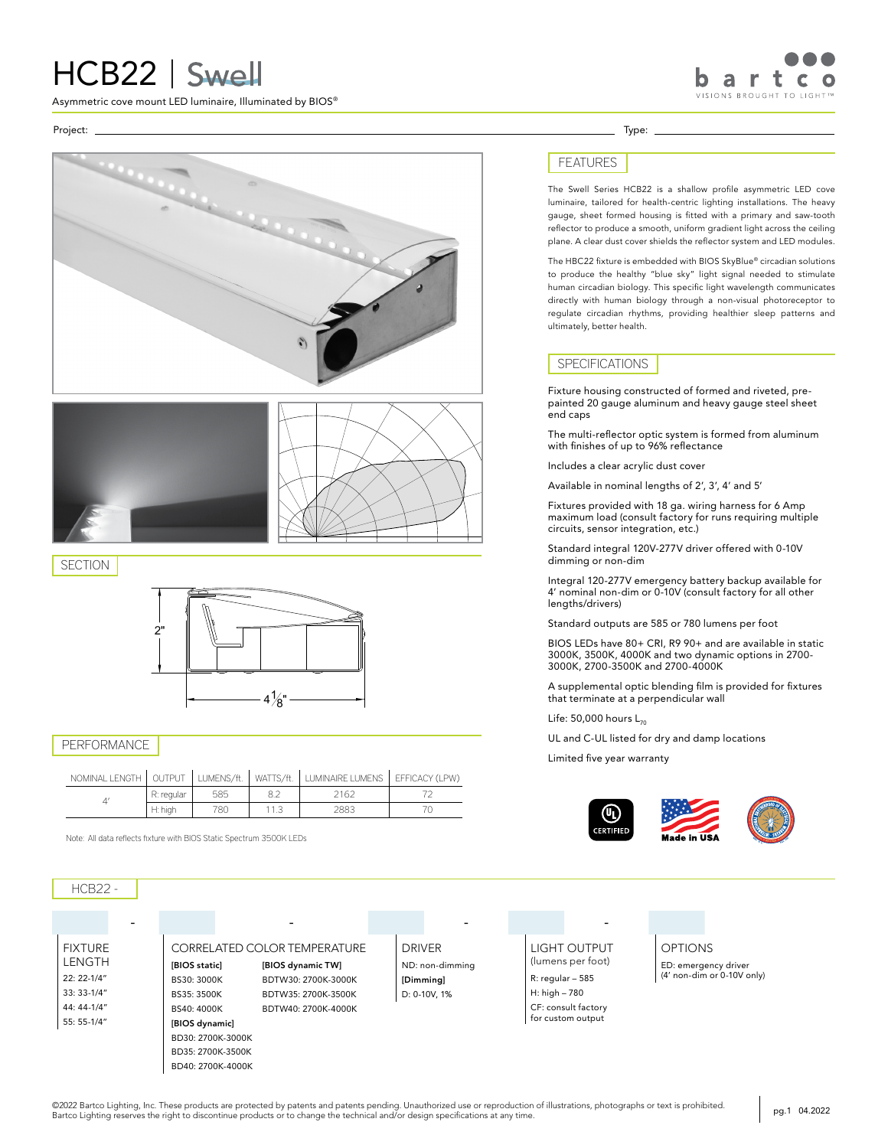# HCB22 | Swell

Asymmetric cove mount LED luminaire, Illuminated by BIOS®

Project: Type:





**SECTION** 



### PERFORMANCE

| NOMINAL LENGTH | OUTPU <sub>1</sub> | LUMENS/ft. | WATTS/ft. | LUMINAIRE LUMENS | EFFICACY (LPW) |
|----------------|--------------------|------------|-----------|------------------|----------------|
|                | R: regular         | 585        |           | 162              |                |
|                | H: high            | 780        |           | 2883             |                |

Note: All data reflects fixture with BIOS Static Spectrum 3500K LEDs

## FEATURES

The Swell Series HCB22 is a shallow profile asymmetric LED cove luminaire, tailored for health-centric lighting installations. The heavy gauge, sheet formed housing is fitted with a primary and saw-tooth reflector to produce a smooth, uniform gradient light across the ceiling plane. A clear dust cover shields the reflector system and LED modules.

a r VISIONS BROUGHT TO LIGHT

The HBC22 fixture is embedded with BIOS SkyBlue® circadian solutions to produce the healthy "blue sky" light signal needed to stimulate human circadian biology. This specific light wavelength communicates directly with human biology through a non-visual photoreceptor to regulate circadian rhythms, providing healthier sleep patterns and ultimately, better health.

#### SPECIFICATIONS

Fixture housing constructed of formed and riveted, prepainted 20 gauge aluminum and heavy gauge steel sheet end caps

The multi-reflector optic system is formed from aluminum with finishes of up to 96% reflectance

Includes a clear acrylic dust cover

Available in nominal lengths of 2', 3', 4' and 5'

Fixtures provided with 18 ga. wiring harness for 6 Amp maximum load (consult factory for runs requiring multiple circuits, sensor integration, etc.)

Standard integral 120V-277V driver offered with 0-10V dimming or non-dim

Integral 120-277V emergency battery backup available for 4' nominal non-dim or 0-10V (consult factory for all other lengths/drivers)

Standard outputs are 585 or 780 lumens per foot

BIOS LEDs have 80+ CRI, R9 90+ and are available in static 3000K, 3500K, 4000K and two dynamic options in 2700- 3000K, 2700-3500K and 2700-4000K

A supplemental optic blending film is provided for fixtures that terminate at a perpendicular wall

Life:  $50,000$  hours  $L_{70}$ 

UL and C-UL listed for dry and damp locations

Limited five year warranty



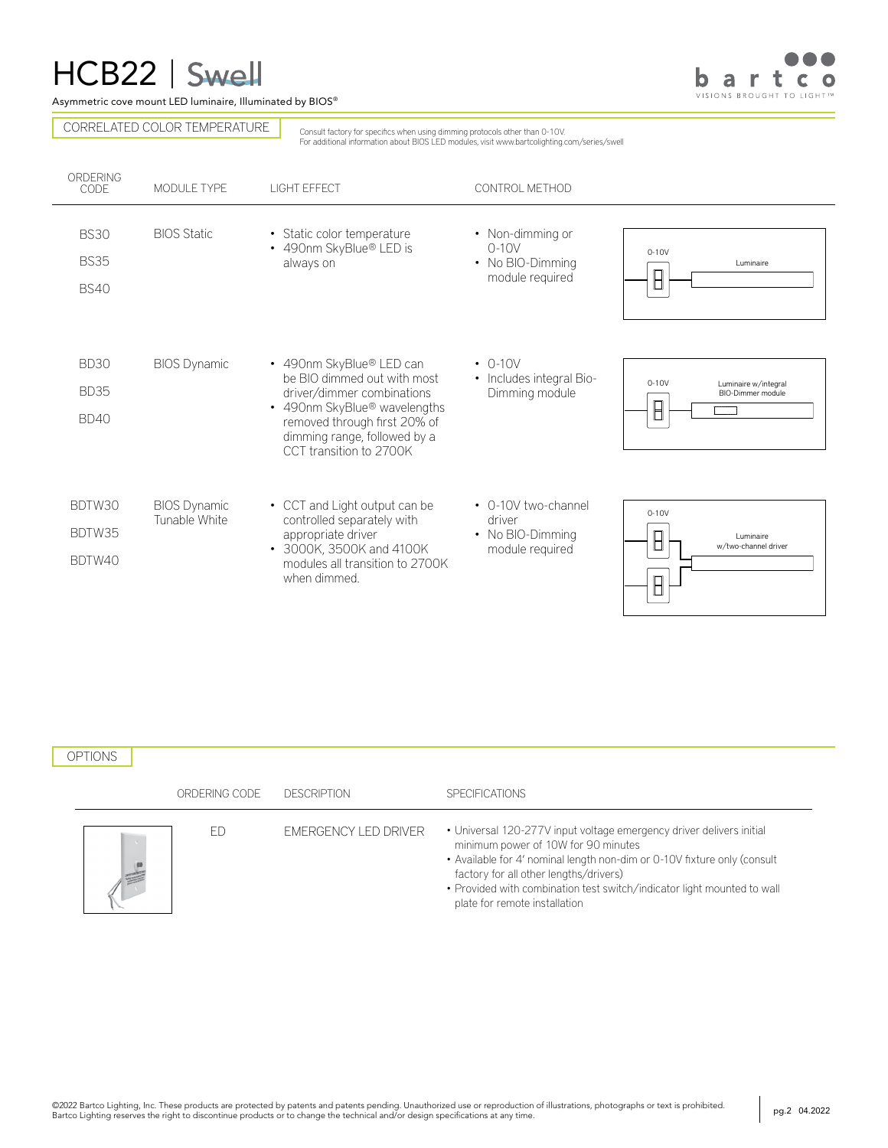# HCB22 | Swell

Asymmetric cove mount LED luminaire, Illuminated by BIOS®

bartco VISIONS BROUGHT TO LIGHT

CORRELATED COLOR TEMPERATURE

Consult factory for specifics when using dimming protocols other than 0-10V. For additional information about BIOS LED modules, visit www.bartcolighting.com/series/swell

| ORDERING<br>CODE                          | MODULE TYPE                          | <b>LIGHT EFFECT</b>                                                                                                                                                                                                          | CONTROL METHOD                                                       |                                                      |
|-------------------------------------------|--------------------------------------|------------------------------------------------------------------------------------------------------------------------------------------------------------------------------------------------------------------------------|----------------------------------------------------------------------|------------------------------------------------------|
| <b>BS30</b><br><b>BS35</b><br><b>BS40</b> | <b>BIOS Static</b>                   | • Static color temperature<br>• 490nm SkyBlue® LED is<br>always on                                                                                                                                                           | • Non-dimming or<br>$0-10V$<br>• No BIO-Dimming<br>module required   | $0-10V$<br>Luminaire                                 |
| <b>BD30</b><br><b>BD35</b><br><b>BD40</b> | <b>BIOS Dynamic</b>                  | • 490nm SkyBlue® LED can<br>be BIO dimmed out with most<br>driver/dimmer combinations<br>• 490nm SkyBlue <sup>®</sup> wavelengths<br>removed through first 20% of<br>dimming range, followed by a<br>CCT transition to 2700K | $\cdot$ 0-10V<br>• Includes integral Bio-<br>Dimming module          | $0-10V$<br>Luminaire w/integral<br>BIO-Dimmer module |
| BDTW30<br>BDTW35<br>BDTW40                | <b>BIOS Dynamic</b><br>Tunable White | • CCT and Light output can be<br>controlled separately with<br>appropriate driver<br>• 3000K, 3500K and 4100K<br>modules all transition to 2700K<br>when dimmed.                                                             | • 0-10V two-channel<br>driver<br>• No BIO-Dimming<br>module required | $0-10V$<br>Luminaire<br>w/two-channel driver         |

### OPTIONS

|                                                                                                                       | ORDERING CODE | DESCRIPTION                 | <b>SPECIFICATIONS</b>                                                                                                                                                                                                                                                                                                                         |
|-----------------------------------------------------------------------------------------------------------------------|---------------|-----------------------------|-----------------------------------------------------------------------------------------------------------------------------------------------------------------------------------------------------------------------------------------------------------------------------------------------------------------------------------------------|
| <b>Contract Contract Contract Contract Contract Contract Contract Contract Contract Contract Contract Contract Co</b> |               | <b>EMERGENCY LED DRIVER</b> | • Universal 120-277V input voltage emergency driver delivers initial<br>minimum power of 10W for 90 minutes<br>• Available for 4' nominal length non-dim or 0-10V fixture only (consult<br>factory for all other lengths/drivers)<br>• Provided with combination test switch/indicator light mounted to wall<br>plate for remote installation |